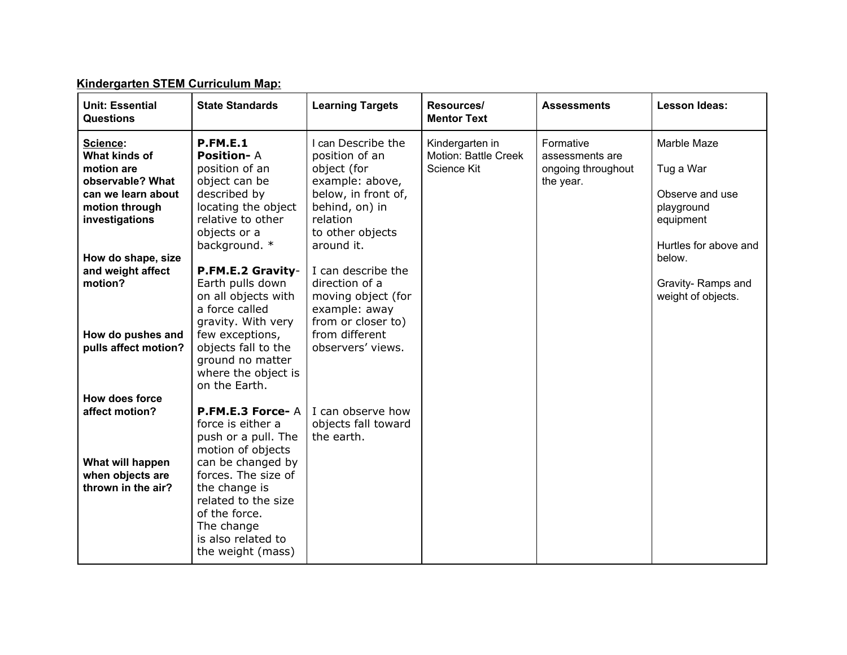| <b>Unit: Essential</b><br><b>Questions</b>                                                                            | <b>State Standards</b>                                                                                                                                                                                                                          | <b>Learning Targets</b>                                                                                                                                       | Resources/<br><b>Mentor Text</b>                       | <b>Assessments</b>                                              | <b>Lesson Ideas:</b>                                                                            |
|-----------------------------------------------------------------------------------------------------------------------|-------------------------------------------------------------------------------------------------------------------------------------------------------------------------------------------------------------------------------------------------|---------------------------------------------------------------------------------------------------------------------------------------------------------------|--------------------------------------------------------|-----------------------------------------------------------------|-------------------------------------------------------------------------------------------------|
| Science:<br>What kinds of<br>motion are<br>observable? What<br>can we learn about<br>motion through<br>investigations | <b>P.FM.E.1</b><br><b>Position-A</b><br>position of an<br>object can be<br>described by<br>locating the object<br>relative to other<br>objects or a<br>background. *                                                                            | I can Describe the<br>position of an<br>object (for<br>example: above,<br>below, in front of,<br>behind, on) in<br>relation<br>to other objects<br>around it. | Kindergarten in<br>Motion: Battle Creek<br>Science Kit | Formative<br>assessments are<br>ongoing throughout<br>the year. | Marble Maze<br>Tug a War<br>Observe and use<br>playground<br>equipment<br>Hurtles for above and |
| How do shape, size<br>and weight affect<br>motion?<br>How do pushes and<br>pulls affect motion?                       | P.FM.E.2 Gravity-<br>Earth pulls down<br>on all objects with<br>a force called<br>gravity. With very<br>few exceptions,<br>objects fall to the<br>ground no matter<br>where the object is<br>on the Earth.                                      | I can describe the<br>direction of a<br>moving object (for<br>example: away<br>from or closer to)<br>from different<br>observers' views.                      |                                                        |                                                                 | below.<br>Gravity-Ramps and<br>weight of objects.                                               |
| How does force<br>affect motion?<br>What will happen<br>when objects are<br>thrown in the air?                        | P.FM.E.3 Force-A<br>force is either a<br>push or a pull. The<br>motion of objects<br>can be changed by<br>forces. The size of<br>the change is<br>related to the size<br>of the force.<br>The change<br>is also related to<br>the weight (mass) | I can observe how<br>objects fall toward<br>the earth.                                                                                                        |                                                        |                                                                 |                                                                                                 |

### **Kindergarten STEM Curriculum Map:**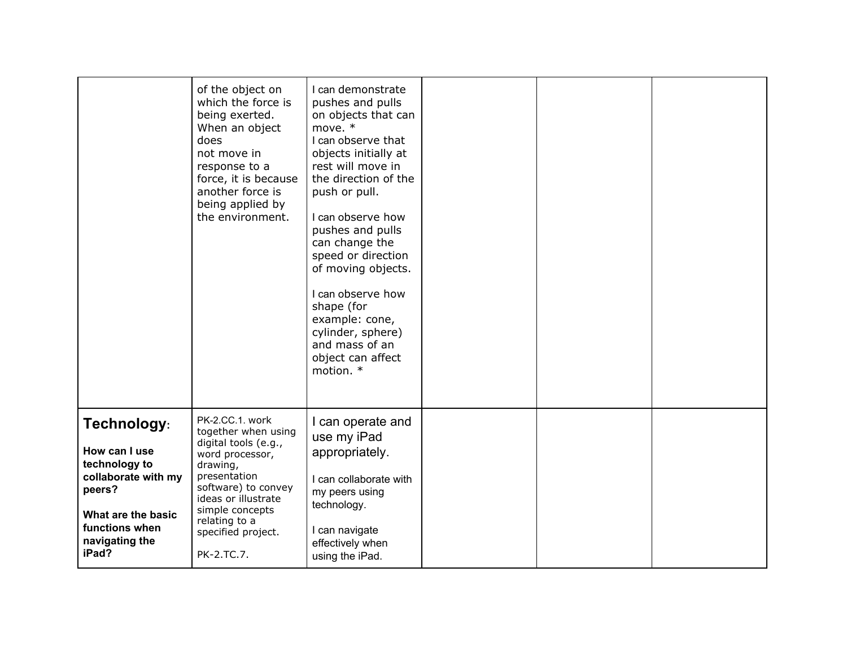|                                                                                                                                                   | of the object on<br>which the force is<br>being exerted.<br>When an object<br>does<br>not move in<br>response to a<br>force, it is because<br>another force is<br>being applied by<br>the environment.                              | I can demonstrate<br>pushes and pulls<br>on objects that can<br>move. *<br>I can observe that<br>objects initially at<br>rest will move in<br>the direction of the<br>push or pull.<br>I can observe how<br>pushes and pulls<br>can change the<br>speed or direction<br>of moving objects.<br>I can observe how<br>shape (for<br>example: cone,<br>cylinder, sphere)<br>and mass of an<br>object can affect<br>motion. * |  |  |
|---------------------------------------------------------------------------------------------------------------------------------------------------|-------------------------------------------------------------------------------------------------------------------------------------------------------------------------------------------------------------------------------------|--------------------------------------------------------------------------------------------------------------------------------------------------------------------------------------------------------------------------------------------------------------------------------------------------------------------------------------------------------------------------------------------------------------------------|--|--|
| Technology:<br>How can I use<br>technology to<br>collaborate with my<br>peers?<br>What are the basic<br>functions when<br>navigating the<br>iPad? | PK-2.CC.1. work<br>together when using<br>digital tools (e.g.,<br>word processor,<br>drawing,<br>presentation<br>software) to convey<br>ideas or illustrate<br>simple concepts<br>relating to a<br>specified project.<br>PK-2.TC.7. | I can operate and<br>use my iPad<br>appropriately.<br>I can collaborate with<br>my peers using<br>technology.<br>I can navigate<br>effectively when<br>using the iPad.                                                                                                                                                                                                                                                   |  |  |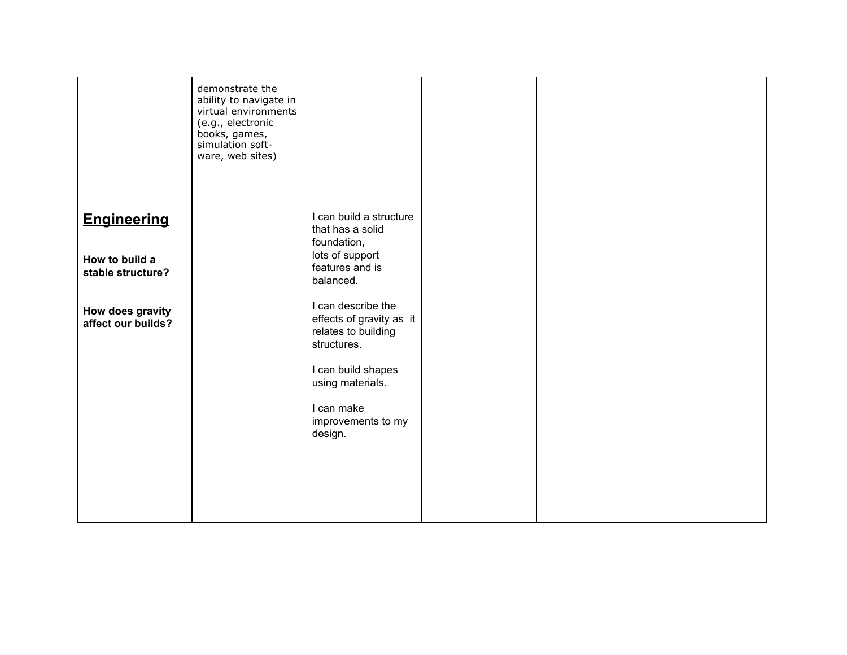|                                                           | demonstrate the<br>ability to navigate in<br>virtual environments<br>(e.g., electronic<br>books, games,<br>simulation soft-<br>ware, web sites) |                                                                                                               |  |  |
|-----------------------------------------------------------|-------------------------------------------------------------------------------------------------------------------------------------------------|---------------------------------------------------------------------------------------------------------------|--|--|
| <b>Engineering</b><br>How to build a<br>stable structure? |                                                                                                                                                 | I can build a structure<br>that has a solid<br>foundation,<br>lots of support<br>features and is<br>balanced. |  |  |
| How does gravity<br>affect our builds?                    |                                                                                                                                                 | I can describe the<br>effects of gravity as it<br>relates to building<br>structures.<br>I can build shapes    |  |  |
|                                                           |                                                                                                                                                 | using materials.<br>I can make<br>improvements to my<br>design.                                               |  |  |
|                                                           |                                                                                                                                                 |                                                                                                               |  |  |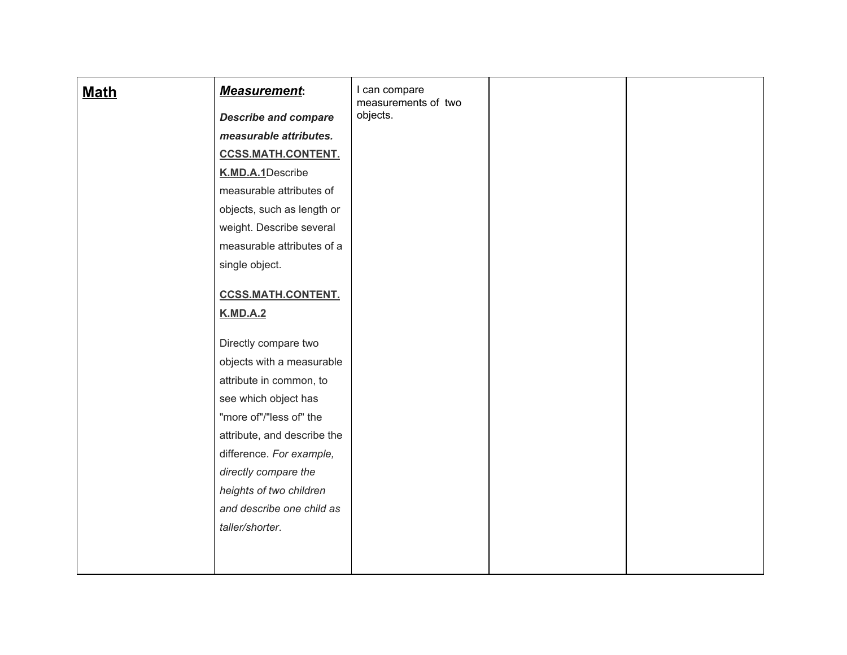| <b>Math</b> | <b>Measurement:</b>                             | I can compare<br>measurements of two |  |
|-------------|-------------------------------------------------|--------------------------------------|--|
|             | <b>Describe and compare</b>                     | objects.                             |  |
|             | measurable attributes.                          |                                      |  |
|             | <b>CCSS.MATH.CONTENT.</b>                       |                                      |  |
|             | K.MD.A.1Describe                                |                                      |  |
|             | measurable attributes of                        |                                      |  |
|             | objects, such as length or                      |                                      |  |
|             | weight. Describe several                        |                                      |  |
|             | measurable attributes of a                      |                                      |  |
|             | single object.                                  |                                      |  |
|             |                                                 |                                      |  |
|             | <b>CCSS.MATH.CONTENT.</b>                       |                                      |  |
|             | <b>K.MD.A.2</b>                                 |                                      |  |
|             | Directly compare two                            |                                      |  |
|             | objects with a measurable                       |                                      |  |
|             | attribute in common, to                         |                                      |  |
|             |                                                 |                                      |  |
|             | see which object has<br>"more of"/"less of" the |                                      |  |
|             |                                                 |                                      |  |
|             | attribute, and describe the                     |                                      |  |
|             | difference. For example,                        |                                      |  |
|             | directly compare the                            |                                      |  |
|             | heights of two children                         |                                      |  |
|             | and describe one child as                       |                                      |  |
|             | taller/shorter.                                 |                                      |  |
|             |                                                 |                                      |  |
|             |                                                 |                                      |  |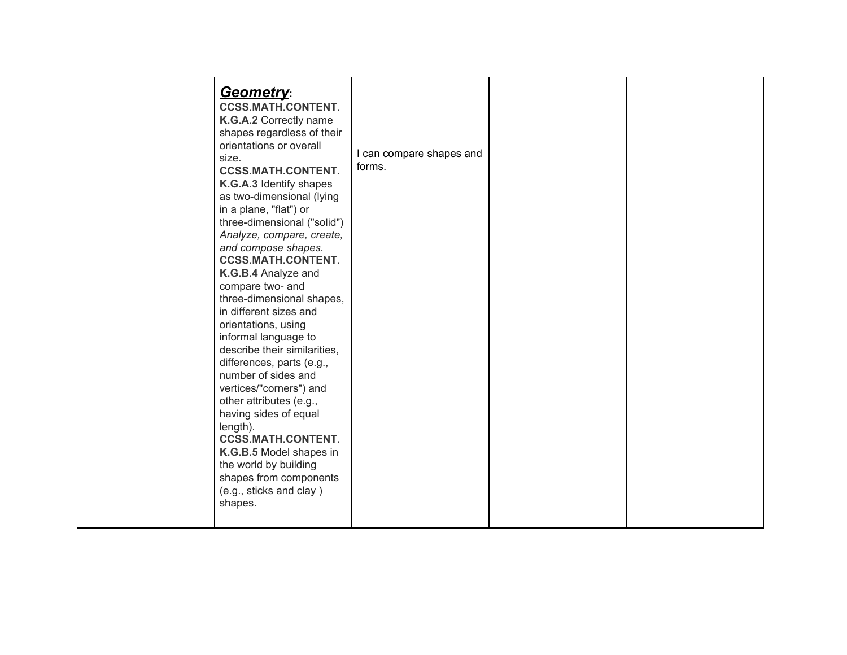| <b>Geometry:</b><br><b>CCSS.MATH.CONTENT.</b><br>K.G.A.2 Correctly name<br>shapes regardless of their<br>orientations or overall<br>size.<br><b>CCSS.MATH.CONTENT.</b><br>K.G.A.3 Identify shapes<br>as two-dimensional (lying<br>in a plane, "flat") or<br>three-dimensional ("solid")<br>Analyze, compare, create,<br>and compose shapes.<br><b>CCSS.MATH.CONTENT.</b><br>K.G.B.4 Analyze and<br>compare two- and<br>three-dimensional shapes,<br>in different sizes and<br>orientations, using<br>informal language to<br>describe their similarities,<br>differences, parts (e.g.,<br>number of sides and<br>vertices/"corners") and<br>other attributes (e.g.,<br>having sides of equal<br>length).<br><b>CCSS.MATH.CONTENT.</b><br>K.G.B.5 Model shapes in<br>the world by building<br>shapes from components<br>(e.g., sticks and clay)<br>shapes. | I can compare shapes and<br>forms. |  |  |
|-----------------------------------------------------------------------------------------------------------------------------------------------------------------------------------------------------------------------------------------------------------------------------------------------------------------------------------------------------------------------------------------------------------------------------------------------------------------------------------------------------------------------------------------------------------------------------------------------------------------------------------------------------------------------------------------------------------------------------------------------------------------------------------------------------------------------------------------------------------|------------------------------------|--|--|
|-----------------------------------------------------------------------------------------------------------------------------------------------------------------------------------------------------------------------------------------------------------------------------------------------------------------------------------------------------------------------------------------------------------------------------------------------------------------------------------------------------------------------------------------------------------------------------------------------------------------------------------------------------------------------------------------------------------------------------------------------------------------------------------------------------------------------------------------------------------|------------------------------------|--|--|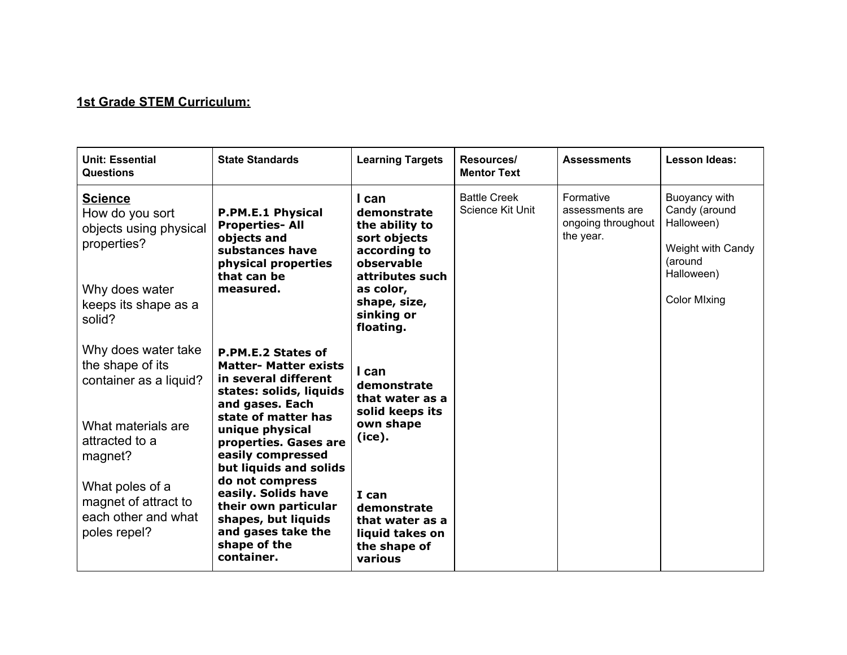### **1st Grade STEM Curriculum:**

| <b>Unit: Essential</b><br>Questions                                                                                            | <b>State Standards</b>                                                                                                                                                                                                                     | <b>Learning Targets</b>                                                                                                                                         | Resources/<br><b>Mentor Text</b>        | <b>Assessments</b>                                              | <b>Lesson Ideas:</b>                                                                                              |
|--------------------------------------------------------------------------------------------------------------------------------|--------------------------------------------------------------------------------------------------------------------------------------------------------------------------------------------------------------------------------------------|-----------------------------------------------------------------------------------------------------------------------------------------------------------------|-----------------------------------------|-----------------------------------------------------------------|-------------------------------------------------------------------------------------------------------------------|
| <b>Science</b><br>How do you sort<br>objects using physical<br>properties?<br>Why does water<br>keeps its shape as a<br>solid? | <b>P.PM.E.1 Physical</b><br><b>Properties-All</b><br>objects and<br>substances have<br>physical properties<br>that can be<br>measured.                                                                                                     | I can<br>demonstrate<br>the ability to<br>sort objects<br>according to<br>observable<br>attributes such<br>as color,<br>shape, size,<br>sinking or<br>floating. | <b>Battle Creek</b><br>Science Kit Unit | Formative<br>assessments are<br>ongoing throughout<br>the year. | Buoyancy with<br>Candy (around<br>Halloween)<br>Weight with Candy<br>(around<br>Halloween)<br><b>Color Mixing</b> |
| Why does water take<br>the shape of its<br>container as a liquid?<br>What materials are<br>attracted to a<br>magnet?           | P.PM.E.2 States of<br><b>Matter- Matter exists</b><br>in several different<br>states: solids, liquids<br>and gases. Each<br>state of matter has<br>unique physical<br>properties. Gases are<br>easily compressed<br>but liquids and solids | I can<br>demonstrate<br>that water as a<br>solid keeps its<br>own shape<br>(ice).                                                                               |                                         |                                                                 |                                                                                                                   |
| What poles of a<br>magnet of attract to<br>each other and what<br>poles repel?                                                 | do not compress<br>easily. Solids have<br>their own particular<br>shapes, but liquids<br>and gases take the<br>shape of the<br>container.                                                                                                  | I can<br>demonstrate<br>that water as a<br>liquid takes on<br>the shape of<br>various                                                                           |                                         |                                                                 |                                                                                                                   |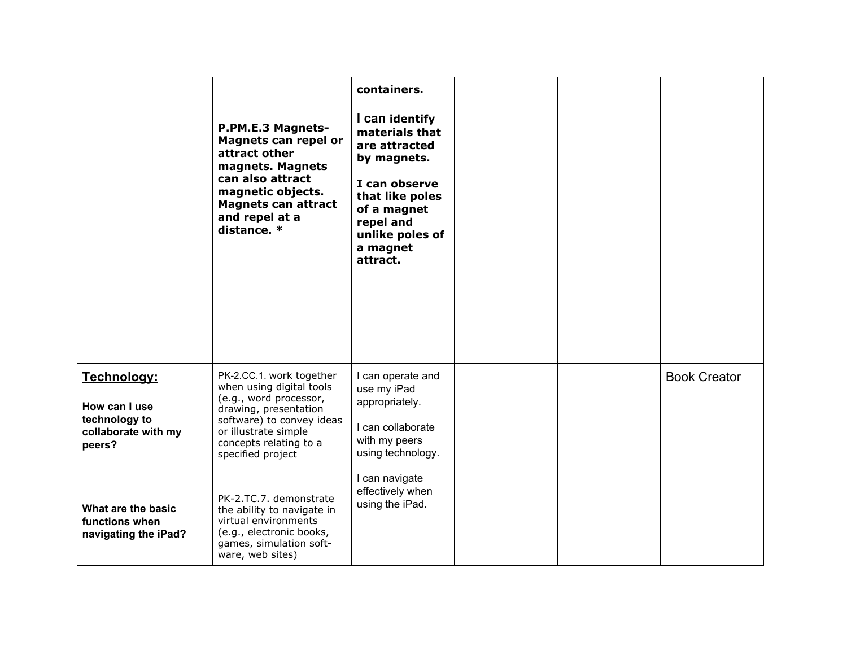|                                                                                | P.PM.E.3 Magnets-<br>Magnets can repel or<br>attract other<br>magnets. Magnets<br>can also attract<br>magnetic objects.<br><b>Magnets can attract</b><br>and repel at a<br>distance. *                      | containers.<br>I can identify<br>materials that<br>are attracted<br>by magnets.<br>I can observe<br>that like poles<br>of a magnet<br>repel and<br>unlike poles of<br>a magnet<br>attract. |  |                     |
|--------------------------------------------------------------------------------|-------------------------------------------------------------------------------------------------------------------------------------------------------------------------------------------------------------|--------------------------------------------------------------------------------------------------------------------------------------------------------------------------------------------|--|---------------------|
| Technology:<br>How can I use<br>technology to<br>collaborate with my<br>peers? | PK-2.CC.1. work together<br>when using digital tools<br>(e.g., word processor,<br>drawing, presentation<br>software) to convey ideas<br>or illustrate simple<br>concepts relating to a<br>specified project | I can operate and<br>use my iPad<br>appropriately.<br>I can collaborate<br>with my peers<br>using technology.                                                                              |  | <b>Book Creator</b> |
| What are the basic<br>functions when<br>navigating the iPad?                   | PK-2.TC.7. demonstrate<br>the ability to navigate in<br>virtual environments<br>(e.g., electronic books,<br>games, simulation soft-<br>ware, web sites)                                                     | I can navigate<br>effectively when<br>using the iPad.                                                                                                                                      |  |                     |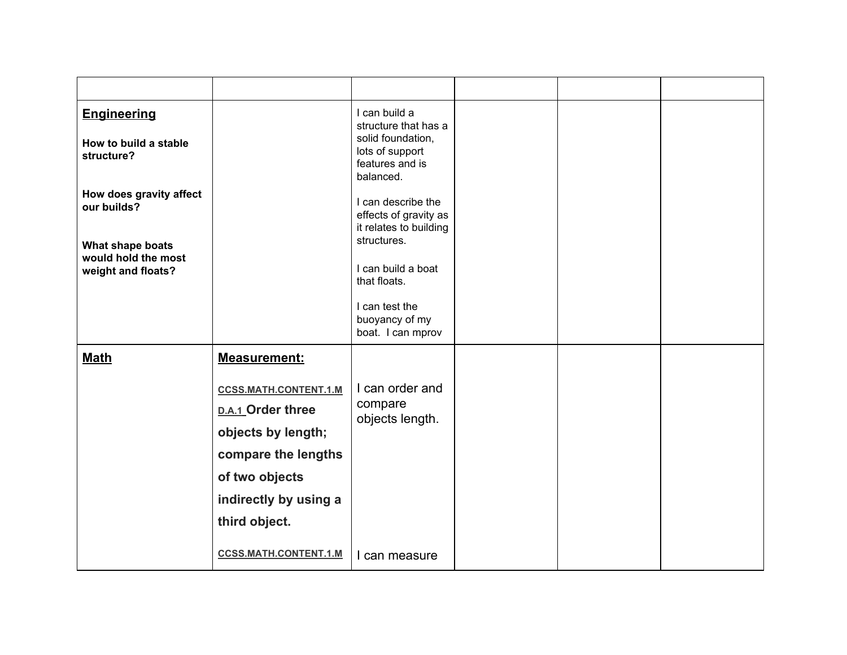| <b>Engineering</b><br>How to build a stable<br>structure?     |                                                                                                                                                            | I can build a<br>structure that has a<br>solid foundation,<br>lots of support<br>features and is<br>balanced. |  |  |
|---------------------------------------------------------------|------------------------------------------------------------------------------------------------------------------------------------------------------------|---------------------------------------------------------------------------------------------------------------|--|--|
| How does gravity affect<br>our builds?                        |                                                                                                                                                            | I can describe the<br>effects of gravity as<br>it relates to building<br>structures.                          |  |  |
| What shape boats<br>would hold the most<br>weight and floats? |                                                                                                                                                            | I can build a boat<br>that floats.                                                                            |  |  |
|                                                               |                                                                                                                                                            | I can test the<br>buoyancy of my<br>boat. I can mprov                                                         |  |  |
| <b>Math</b>                                                   | <b>Measurement:</b>                                                                                                                                        |                                                                                                               |  |  |
|                                                               | <b>CCSS.MATH.CONTENT.1.M</b><br>D.A.1 Order three<br>objects by length;<br>compare the lengths<br>of two objects<br>indirectly by using a<br>third object. | I can order and<br>compare<br>objects length.                                                                 |  |  |
|                                                               | <b>CCSS.MATH.CONTENT.1.M</b>                                                                                                                               | I can measure                                                                                                 |  |  |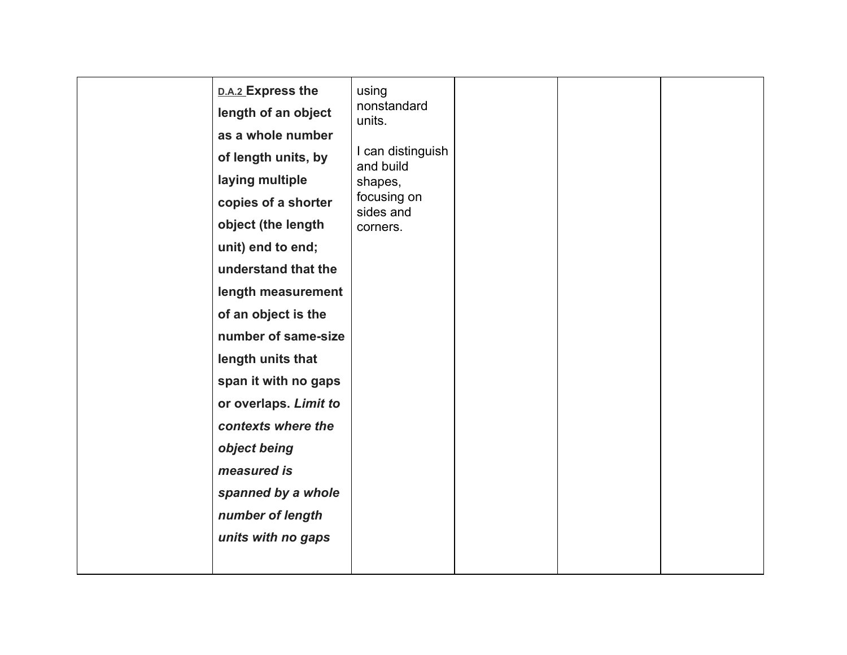| D.A.2 Express the<br>length of an object<br>as a whole number<br>of length units, by<br>laying multiple<br>copies of a shorter<br>object (the length<br>unit) end to end;<br>understand that the<br>length measurement<br>of an object is the<br>number of same-size<br>length units that<br>span it with no gaps<br>or overlaps. Limit to<br>contexts where the<br>object being<br>measured is<br>spanned by a whole<br>number of length<br>units with no gaps | using<br>nonstandard<br>units.<br>I can distinguish<br>and build<br>shapes,<br>focusing on<br>sides and<br>corners. |  |  |
|-----------------------------------------------------------------------------------------------------------------------------------------------------------------------------------------------------------------------------------------------------------------------------------------------------------------------------------------------------------------------------------------------------------------------------------------------------------------|---------------------------------------------------------------------------------------------------------------------|--|--|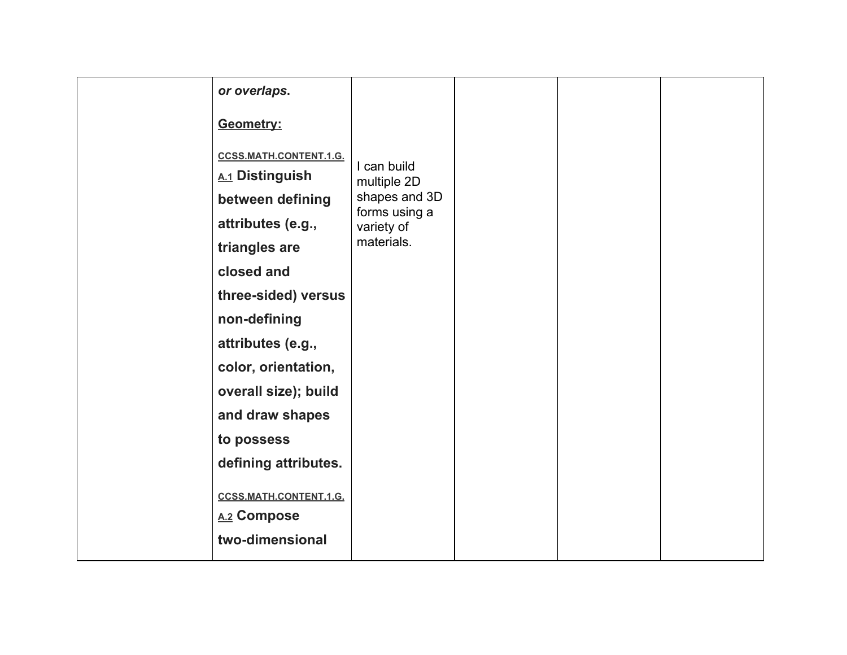| or overlaps.                  |                             |  |  |
|-------------------------------|-----------------------------|--|--|
| Geometry:                     |                             |  |  |
| CCSS.MATH.CONTENT.1.G.        |                             |  |  |
| A.1 Distinguish               | I can build<br>multiple 2D  |  |  |
| between defining              | shapes and 3D               |  |  |
| attributes (e.g.,             | forms using a<br>variety of |  |  |
| triangles are                 | materials.                  |  |  |
| closed and                    |                             |  |  |
| three-sided) versus           |                             |  |  |
| non-defining                  |                             |  |  |
| attributes (e.g.,             |                             |  |  |
| color, orientation,           |                             |  |  |
| overall size); build          |                             |  |  |
| and draw shapes               |                             |  |  |
| to possess                    |                             |  |  |
| defining attributes.          |                             |  |  |
| <b>CCSS.MATH.CONTENT.1.G.</b> |                             |  |  |
| A.2 Compose                   |                             |  |  |
| two-dimensional               |                             |  |  |
|                               |                             |  |  |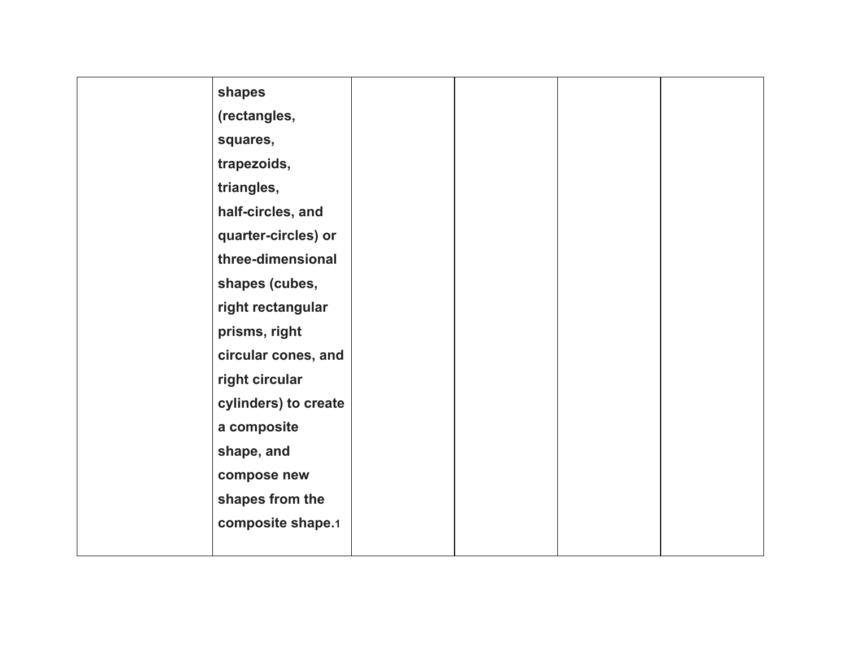| shapes               |  |  |
|----------------------|--|--|
| (rectangles,         |  |  |
| squares,             |  |  |
| trapezoids,          |  |  |
| triangles,           |  |  |
| half-circles, and    |  |  |
| quarter-circles) or  |  |  |
| three-dimensional    |  |  |
| shapes (cubes,       |  |  |
| right rectangular    |  |  |
| prisms, right        |  |  |
| circular cones, and  |  |  |
| right circular       |  |  |
| cylinders) to create |  |  |
| a composite          |  |  |
| shape, and           |  |  |
| compose new          |  |  |
| shapes from the      |  |  |
| composite shape.1    |  |  |
|                      |  |  |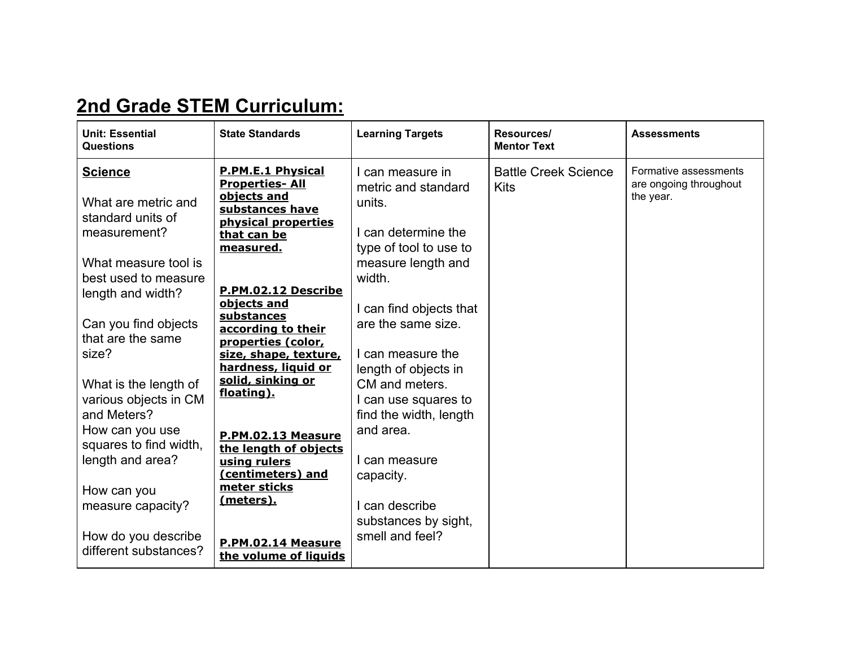## **2nd Grade STEM Curriculum:**

| <b>Unit: Essential</b><br><b>Questions</b>                                                                                                                                                                         | <b>State Standards</b>                                                                                                                                                                                                                                                                 | <b>Learning Targets</b>                                                                                                                                                                                                        | Resources/<br><b>Mentor Text</b>           | <b>Assessments</b>                                           |
|--------------------------------------------------------------------------------------------------------------------------------------------------------------------------------------------------------------------|----------------------------------------------------------------------------------------------------------------------------------------------------------------------------------------------------------------------------------------------------------------------------------------|--------------------------------------------------------------------------------------------------------------------------------------------------------------------------------------------------------------------------------|--------------------------------------------|--------------------------------------------------------------|
| <b>Science</b><br>What are metric and<br>standard units of<br>measurement?<br>What measure tool is<br>best used to measure<br>length and width?<br>Can you find objects<br>that are the same<br>size?              | <b>P.PM.E.1 Physical</b><br><b>Properties-All</b><br>objects and<br>substances have<br>physical properties<br>that can be<br>measured.<br>P.PM.02.12 Describe<br>objects and<br>substances<br>according to their<br>properties (color,<br>size, shape, texture,<br>hardness, liquid or | can measure in<br>metric and standard<br>units.<br>I can determine the<br>type of tool to use to<br>measure length and<br>width.<br>I can find objects that<br>are the same size.<br>I can measure the<br>length of objects in | <b>Battle Creek Science</b><br><b>Kits</b> | Formative assessments<br>are ongoing throughout<br>the year. |
| What is the length of<br>various objects in CM<br>and Meters?<br>How can you use<br>squares to find width,<br>length and area?<br>How can you<br>measure capacity?<br>How do you describe<br>different substances? | solid, sinking or<br>floating).<br>P.PM.02.13 Measure<br>the length of objects<br>using rulers<br>(centimeters) and<br>meter sticks<br><u>(meters).</u><br>P.PM.02.14 Measure<br>the volume of liquids                                                                                 | CM and meters.<br>l can use squares to<br>find the width, length<br>and area.<br>I can measure<br>capacity.<br>can describe<br>substances by sight,<br>smell and feel?                                                         |                                            |                                                              |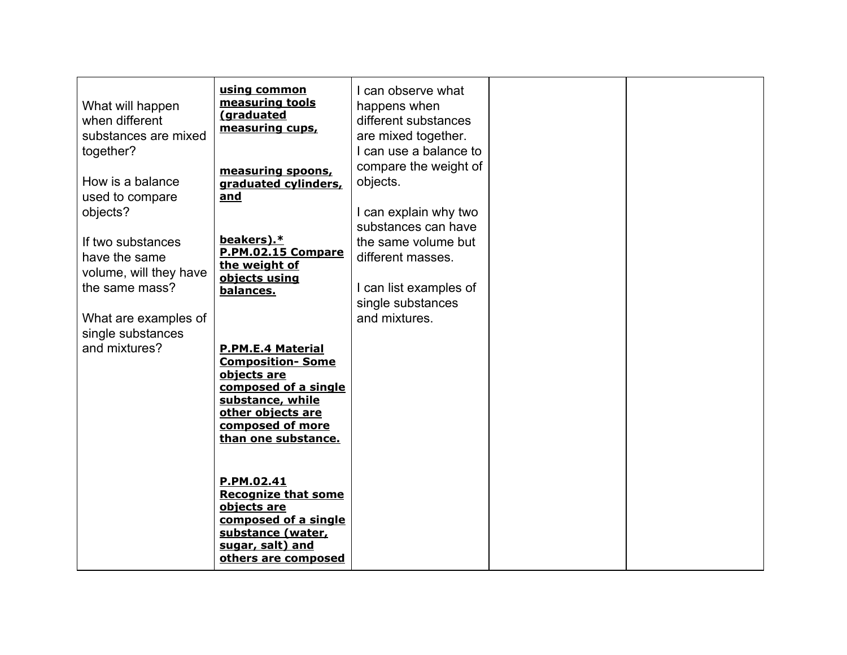| What will happen<br>when different<br>substances are mixed<br>together?<br>How is a balance<br>used to compare<br>objects?<br>If two substances<br>have the same<br>volume, will they have<br>the same mass?<br>What are examples of<br>single substances<br>and mixtures? | using common<br>measuring tools<br>(graduated<br>measuring cups,<br>measuring spoons,<br>graduated cylinders,<br>and<br>beakers).*<br>P.PM.02.15 Compare<br>the weight of<br>objects using<br>balances.<br><b>P.PM.E.4 Material</b><br><b>Composition-Some</b><br>objects are<br>composed of a single<br>substance, while<br>other objects are<br>composed of more | I can observe what<br>happens when<br>different substances<br>are mixed together.<br>I can use a balance to<br>compare the weight of<br>objects.<br>I can explain why two<br>substances can have<br>the same volume but<br>different masses.<br>I can list examples of<br>single substances<br>and mixtures. |  |
|----------------------------------------------------------------------------------------------------------------------------------------------------------------------------------------------------------------------------------------------------------------------------|--------------------------------------------------------------------------------------------------------------------------------------------------------------------------------------------------------------------------------------------------------------------------------------------------------------------------------------------------------------------|--------------------------------------------------------------------------------------------------------------------------------------------------------------------------------------------------------------------------------------------------------------------------------------------------------------|--|
|                                                                                                                                                                                                                                                                            | than one substance.<br>P.PM.02.41<br><b>Recognize that some</b><br>objects are<br>composed of a single<br>substance (water,<br>sugar, salt) and<br>others are composed                                                                                                                                                                                             |                                                                                                                                                                                                                                                                                                              |  |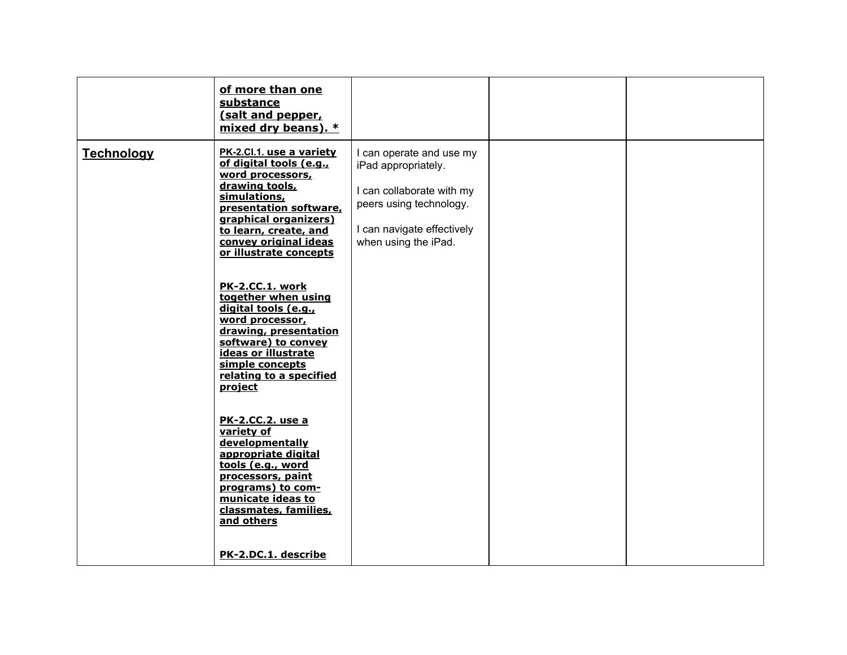|                   | of more than one<br>substance<br>(salt and pepper,<br>mixed dry beans). *                                                                                                                                                                |                                                                                                                                                               |  |
|-------------------|------------------------------------------------------------------------------------------------------------------------------------------------------------------------------------------------------------------------------------------|---------------------------------------------------------------------------------------------------------------------------------------------------------------|--|
| <b>Technology</b> | PK-2.Cl.1. use a variety<br>of digital tools (e.g.,<br>word processors,<br>drawing tools,<br>simulations,<br>presentation software,<br>graphical organizers)<br>to learn, create, and<br>convey original ideas<br>or illustrate concepts | I can operate and use my<br>iPad appropriately.<br>I can collaborate with my<br>peers using technology.<br>I can navigate effectively<br>when using the iPad. |  |
|                   | PK-2.CC.1. work<br>together when using<br>digital tools (e.g.,<br>word processor,<br>drawing, presentation<br>software) to convey<br>ideas or illustrate<br>simple concepts<br>relating to a specified<br>project                        |                                                                                                                                                               |  |
|                   | <b>PK-2.CC.2. use a</b><br>variety of<br>developmentally<br>appropriate digital<br>tools (e.g., word<br>processors, paint<br>programs) to com-<br>municate ideas to<br>classmates, families,<br>and others                               |                                                                                                                                                               |  |
|                   | PK-2.DC.1. describe                                                                                                                                                                                                                      |                                                                                                                                                               |  |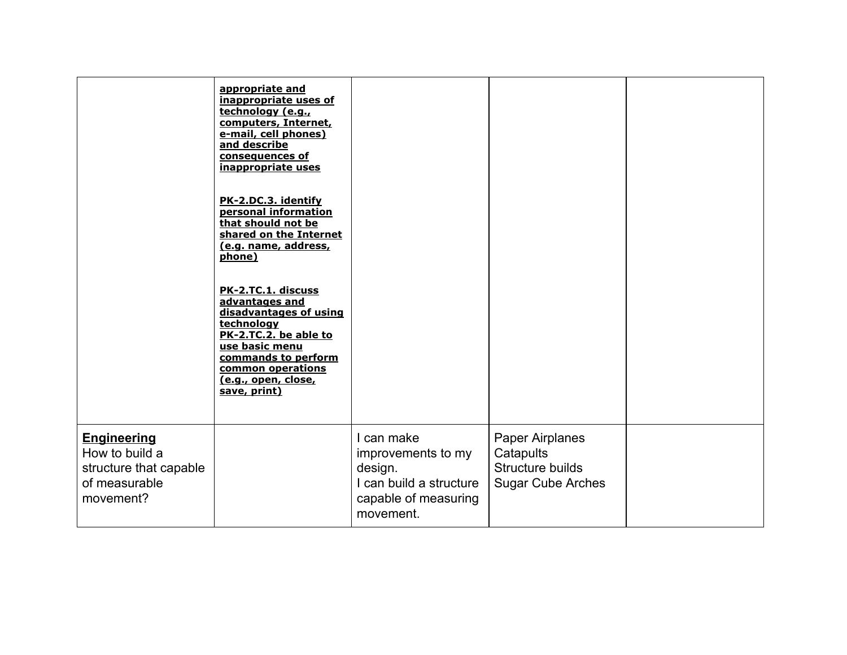|                                                                                              | appropriate and<br>inappropriate uses of<br>technology (e.g.,<br>computers, Internet,<br>e-mail, cell phones)<br>and describe<br>consequences of<br>inappropriate uses<br>PK-2.DC.3. identify<br>personal information<br>that should not be<br>shared on the Internet<br>(e.g. name, address,<br>phone)<br>PK-2.TC.1. discuss<br>advantages and<br>disadvantages of using<br>technology<br>PK-2.TC.2. be able to<br>use basic menu<br>commands to perform<br>common operations<br>(e.g., open, close,<br>save, print) |                                                                                                             |                                                                              |  |
|----------------------------------------------------------------------------------------------|-----------------------------------------------------------------------------------------------------------------------------------------------------------------------------------------------------------------------------------------------------------------------------------------------------------------------------------------------------------------------------------------------------------------------------------------------------------------------------------------------------------------------|-------------------------------------------------------------------------------------------------------------|------------------------------------------------------------------------------|--|
| <b>Engineering</b><br>How to build a<br>structure that capable<br>of measurable<br>movement? |                                                                                                                                                                                                                                                                                                                                                                                                                                                                                                                       | I can make<br>improvements to my<br>design.<br>I can build a structure<br>capable of measuring<br>movement. | Paper Airplanes<br>Catapults<br>Structure builds<br><b>Sugar Cube Arches</b> |  |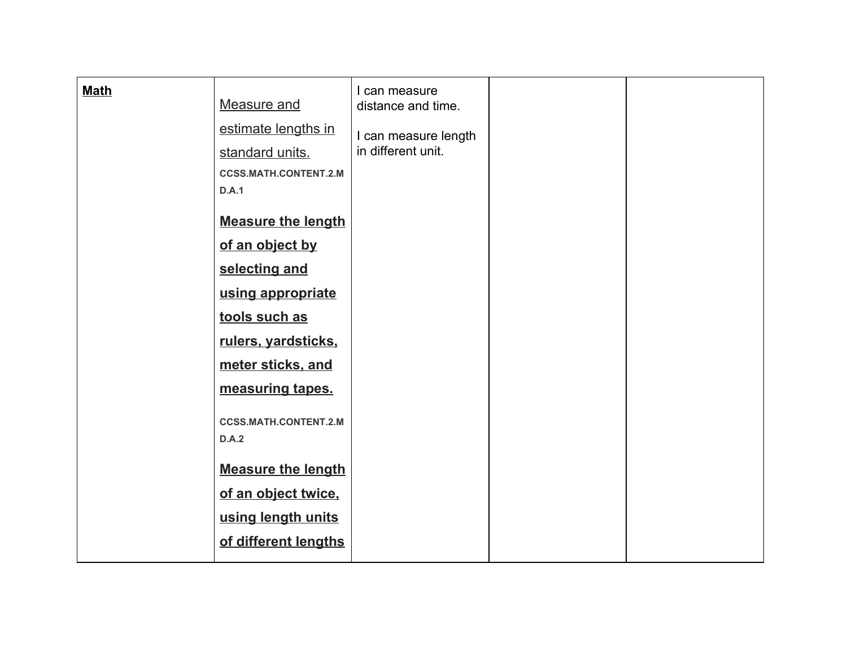| <b>Math</b> | Measure and                           | I can measure<br>distance and time. |  |
|-------------|---------------------------------------|-------------------------------------|--|
|             |                                       |                                     |  |
|             | estimate lengths in                   | I can measure length                |  |
|             | standard units.                       | in different unit.                  |  |
|             | <b>CCSS.MATH.CONTENT.2.M</b>          |                                     |  |
|             | D.A.1                                 |                                     |  |
|             | <b>Measure the length</b>             |                                     |  |
|             | of an object by                       |                                     |  |
|             | selecting and                         |                                     |  |
|             | using appropriate                     |                                     |  |
|             | tools such as                         |                                     |  |
|             | rulers, yardsticks,                   |                                     |  |
|             | meter sticks, and                     |                                     |  |
|             | measuring tapes.                      |                                     |  |
|             | <b>CCSS.MATH.CONTENT.2.M</b><br>D.A.2 |                                     |  |
|             | <b>Measure the length</b>             |                                     |  |
|             | of an object twice,                   |                                     |  |
|             | using length units                    |                                     |  |
|             | of different lengths                  |                                     |  |
|             |                                       |                                     |  |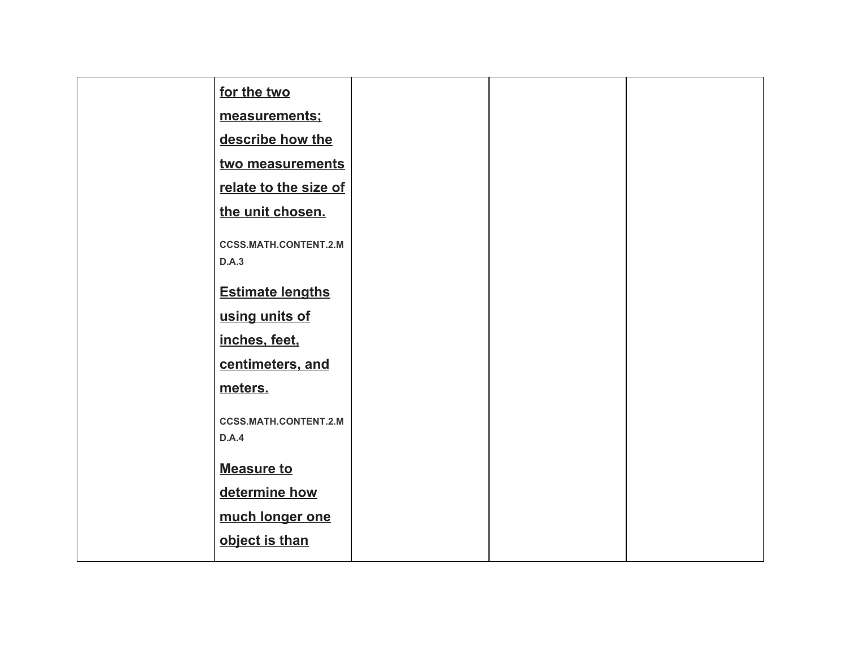| for the two                           |  |  |
|---------------------------------------|--|--|
| measurements;                         |  |  |
| describe how the                      |  |  |
| two measurements                      |  |  |
| relate to the size of                 |  |  |
| the unit chosen.                      |  |  |
| <b>CCSS.MATH.CONTENT.2.M</b><br>D.A.3 |  |  |
| <b>Estimate lengths</b>               |  |  |
| using units of                        |  |  |
| inches, feet,                         |  |  |
| centimeters, and                      |  |  |
| meters.                               |  |  |
| <b>CCSS.MATH.CONTENT.2.M</b><br>D.A.4 |  |  |
| <b>Measure to</b>                     |  |  |
| determine how                         |  |  |
| much longer one                       |  |  |
| object is than                        |  |  |
|                                       |  |  |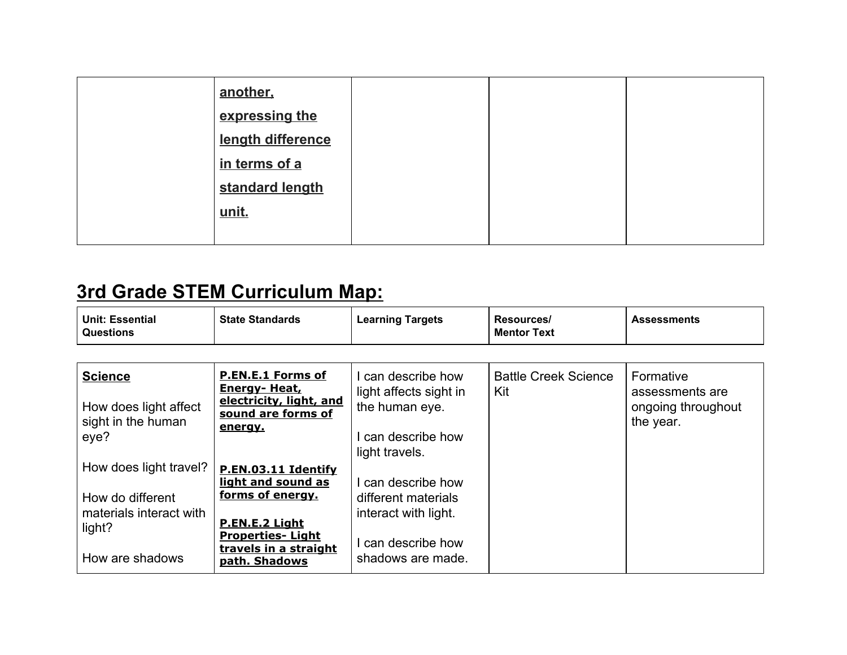| another,          |  |  |
|-------------------|--|--|
| expressing the    |  |  |
| length difference |  |  |
| in terms of a     |  |  |
| standard length   |  |  |
| unit.             |  |  |
|                   |  |  |

# **3rd Grade STEM Curriculum Map:**

| <b>Unit: Essential</b><br><b>Questions</b> | <b>State Standards</b> | <b>Learning Targets</b> | Resources/<br><b>Mentor Text</b> | <b>Assessments</b> |
|--------------------------------------------|------------------------|-------------------------|----------------------------------|--------------------|
|--------------------------------------------|------------------------|-------------------------|----------------------------------|--------------------|

| <b>Science</b><br>How does light affect<br>sight in the human<br>eye?                              | P.EN.E.1 Forms of<br>Energy- Heat,<br>electricity, light, and<br>sound are forms of<br>energy.                                                       | can describe how<br>light affects sight in<br>the human eye.<br>can describe how<br>light travels.         | <b>Battle Creek Science</b><br>Kit | Formative<br>assessments are<br>ongoing throughout<br>the year. |
|----------------------------------------------------------------------------------------------------|------------------------------------------------------------------------------------------------------------------------------------------------------|------------------------------------------------------------------------------------------------------------|------------------------------------|-----------------------------------------------------------------|
| How does light travel?<br>How do different<br>materials interact with<br>light?<br>How are shadows | P.EN.03.11 Identify<br>light and sound as<br>forms of energy.<br>P.EN.E.2 Light<br><b>Properties-Light</b><br>travels in a straight<br>path. Shadows | I can describe how<br>different materials<br>interact with light.<br>can describe how<br>shadows are made. |                                    |                                                                 |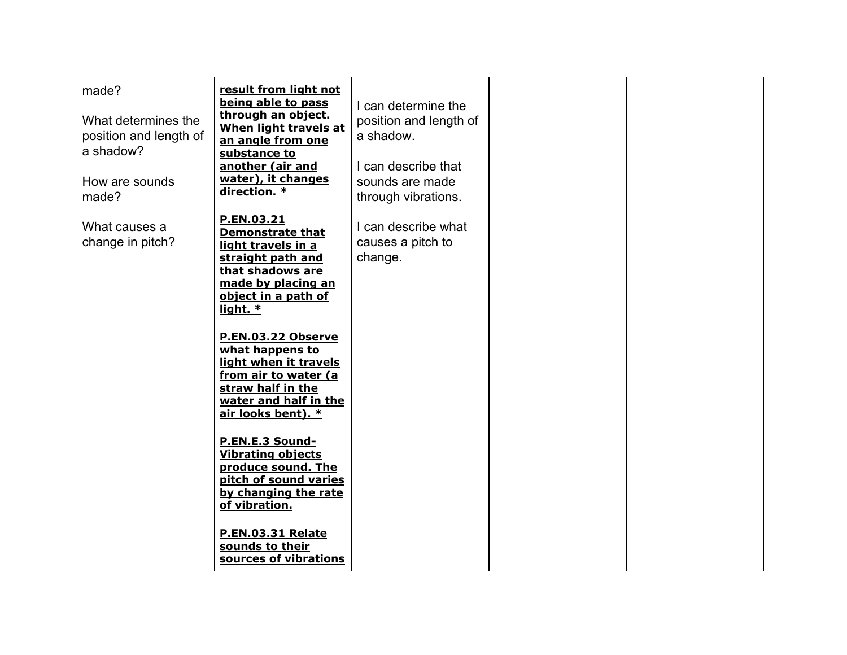| made?<br>What determines the<br>position and length of<br>a shadow?<br>How are sounds<br>made? | result from light not<br>being able to pass<br>through an object.<br>When light travels at<br>an angle from one<br>substance to<br>another (air and<br>water), it changes<br>direction. * | I can determine the<br>position and length of<br>a shadow.<br>I can describe that<br>sounds are made<br>through vibrations. |  |
|------------------------------------------------------------------------------------------------|-------------------------------------------------------------------------------------------------------------------------------------------------------------------------------------------|-----------------------------------------------------------------------------------------------------------------------------|--|
| What causes a<br>change in pitch?                                                              | P.EN.03.21<br><b>Demonstrate that</b><br>light travels in a<br>straight path and<br>that shadows are<br>made by placing an<br>object in a path of<br>light. $*$                           | I can describe what<br>causes a pitch to<br>change.                                                                         |  |
|                                                                                                | P.EN.03.22 Observe<br>what happens to<br>light when it travels<br>from air to water (a<br>straw half in the<br>water and half in the<br>air looks bent). *                                |                                                                                                                             |  |
|                                                                                                | P.EN.E.3 Sound-<br><b>Vibrating objects</b><br>produce sound. The<br>pitch of sound varies<br>by changing the rate<br>of vibration.                                                       |                                                                                                                             |  |
|                                                                                                | <b>P.EN.03.31 Relate</b><br>sounds to their<br>sources of vibrations                                                                                                                      |                                                                                                                             |  |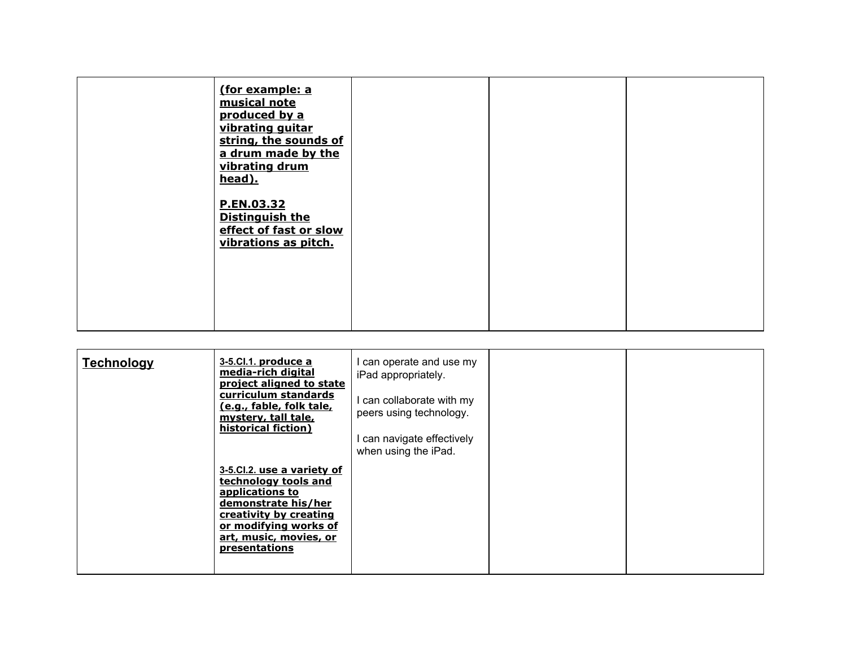| (for example: a<br>musical note<br>produced by a<br>vibrating guitar<br>string, the sounds of<br>a drum made by the<br>vibrating drum<br>head). |  |  |
|-------------------------------------------------------------------------------------------------------------------------------------------------|--|--|
| P.EN.03.32<br><b>Distinguish the</b><br>effect of fast or slow<br>vibrations as pitch.                                                          |  |  |

| <b>Technology</b> | 3-5.Cl.1. produce a<br>media-rich digital<br>project aligned to state<br>curriculum standards<br>(e.g., fable, folk tale,<br>mystery, tall tale,<br>historical fiction)                           | can operate and use my<br>iPad appropriately.<br>I can collaborate with my<br>peers using technology.<br>I can navigate effectively<br>when using the iPad. |  |
|-------------------|---------------------------------------------------------------------------------------------------------------------------------------------------------------------------------------------------|-------------------------------------------------------------------------------------------------------------------------------------------------------------|--|
|                   | 3-5.Cl.2. use a variety of<br>technology tools and<br>applications to<br>demonstrate his/her<br>creativity by creating<br>or modifying works of<br>art, music, movies, or<br><b>presentations</b> |                                                                                                                                                             |  |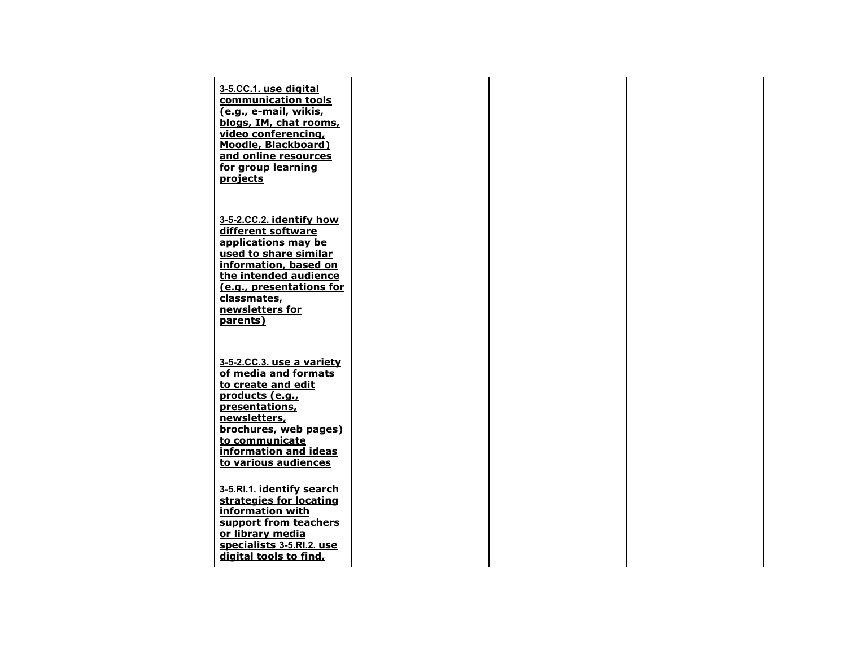| 3-5.CC.1. use digital<br>communication tools<br>(e.g., e-mail, wikis,<br>blogs, IM, chat rooms,<br>video conferencing,<br>Moodle, Blackboard)<br>and online resources<br>for group learning<br>projects                    |  |  |
|----------------------------------------------------------------------------------------------------------------------------------------------------------------------------------------------------------------------------|--|--|
| 3-5-2.CC.2. identify how<br>different software<br>applications may be<br>used to share similar<br>information, based on<br>the intended audience<br>(e.g., presentations for<br>classmates,<br>newsletters for<br>parents) |  |  |
| 3-5-2.CC.3. use a variety<br>of media and formats<br>to create and edit<br>products (e.g.,<br>presentations,<br>newsletters,<br>brochures, web pages)<br>to communicate<br>information and ideas<br>to various audiences   |  |  |
| 3-5.RI.1. identify search<br>strategies for locating<br>information with<br>support from teachers<br>or library media<br>specialists 3-5.Rl.2. use<br>digital tools to find,                                               |  |  |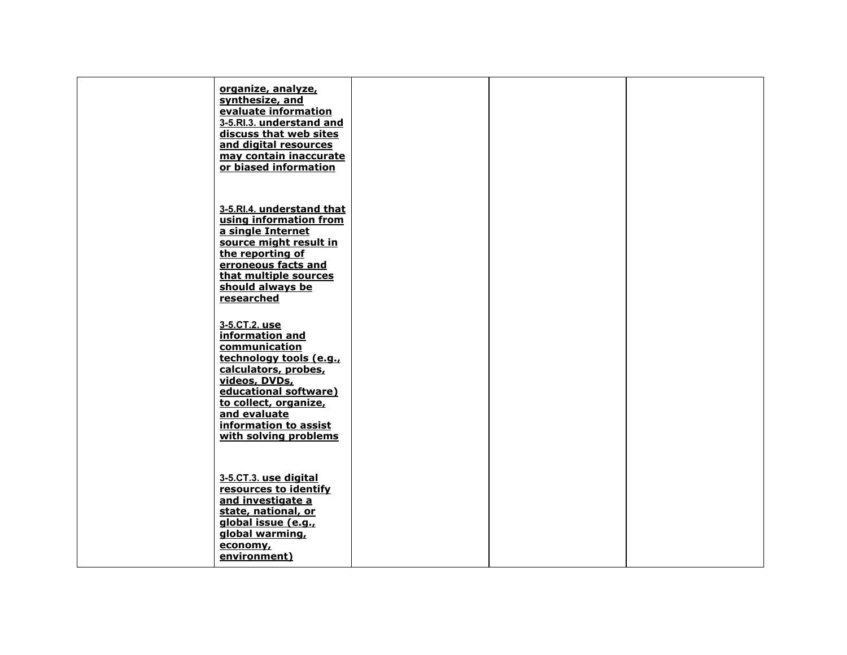| organize, analyze,<br>synthesize, and<br>evaluate information<br>3-5.Rl.3. understand and<br>discuss that web sites<br>and digital resources<br>may contain inaccurate<br>or biased information                                           |  |  |
|-------------------------------------------------------------------------------------------------------------------------------------------------------------------------------------------------------------------------------------------|--|--|
| 3-5.RI.4. understand that<br>using information from<br>a single Internet<br>source might result in<br>the reporting of<br>erroneous facts and<br>that multiple sources<br>should always be<br>researched                                  |  |  |
| 3-5.CT.2. use<br>information and<br>communication<br>technology tools (e.g.,<br>calculators, probes,<br>videos, DVDs,<br>educational software)<br>to collect, organize,<br>and evaluate<br>information to assist<br>with solving problems |  |  |
| 3-5.CT.3. use digital<br>resources to identify<br>and investigate a<br>state, national, or<br>global issue (e.g.,<br>global warming,<br>economy,<br>environment)                                                                          |  |  |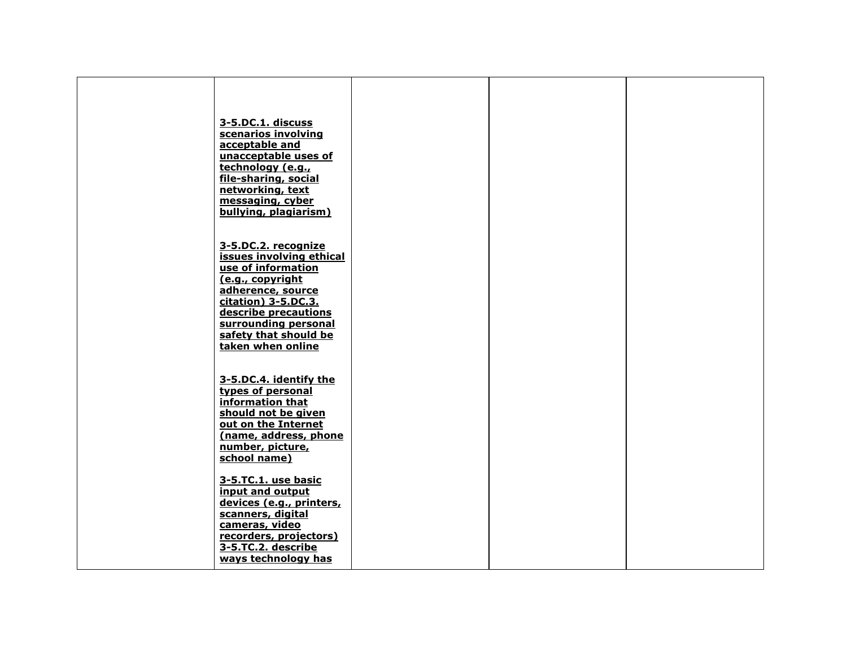| 3-5.DC.1. discuss<br>scenarios involving<br>acceptable and<br>unacceptable uses of<br>technology (e.g.,<br>file-sharing, social<br>networking, text<br>messaging, cyber<br>bullying, plagiarism)                                    |  |  |
|-------------------------------------------------------------------------------------------------------------------------------------------------------------------------------------------------------------------------------------|--|--|
| 3-5.DC.2. recognize<br>issues involving ethical<br>use of information<br>(e.g., copyright<br>adherence, source<br>citation) 3-5.DC.3.<br>describe precautions<br>surrounding personal<br>safety that should be<br>taken when online |  |  |
| 3-5.DC.4. identify the<br>types of personal<br>information that<br>should not be given<br>out on the Internet<br>(name, address, phone<br>number, picture,<br>school name)                                                          |  |  |
| 3-5.TC.1. use basic<br>input and output<br>devices (e.g., printers,<br>scanners, digital<br>cameras, video<br>recorders, projectors)<br>3-5.TC.2. describe<br>ways technology has                                                   |  |  |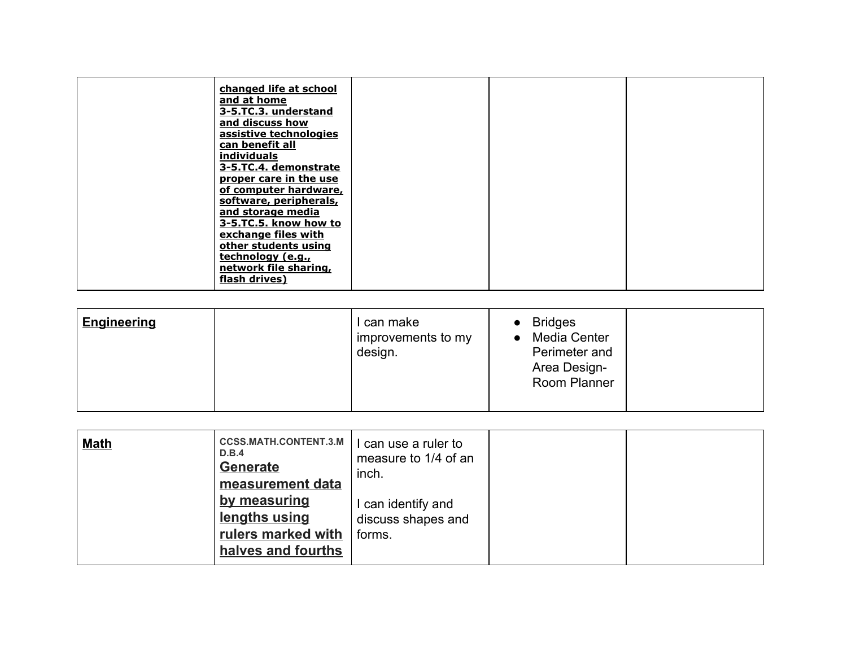| of computer hardware,<br>software, peripherals,<br>and storage media<br>3-5.TC.5. know how to<br>exchange files with<br>other students using<br>technology (e.g.,<br>network file sharing,<br>flash drives) | changed life at school<br>and at home<br>3-5.TC.3. understand<br>and discuss how<br>assistive technologies<br>can benefit all<br><i>individuals</i><br>3-5.TC.4. demonstrate |  |  |
|-------------------------------------------------------------------------------------------------------------------------------------------------------------------------------------------------------------|------------------------------------------------------------------------------------------------------------------------------------------------------------------------------|--|--|
|                                                                                                                                                                                                             | proper care in the use                                                                                                                                                       |  |  |

| <b>Engineering</b> | can make<br>improvements to my<br>design. | <b>Bridges</b><br>Media Center<br>Perimeter and<br>Area Design-<br>Room Planner |  |
|--------------------|-------------------------------------------|---------------------------------------------------------------------------------|--|
|                    |                                           |                                                                                 |  |

| <b>CCSS.MATH.CONTENT.3.M</b><br><b>Math</b><br>D.B.4<br><b>Generate</b><br>measurement data<br>by measuring<br>lengths using<br>rulers marked with<br>halves and fourths | l can use a ruler to<br>measure to 1/4 of an<br>inch.<br>can identify and<br>discuss shapes and<br>forms. |  |  |
|--------------------------------------------------------------------------------------------------------------------------------------------------------------------------|-----------------------------------------------------------------------------------------------------------|--|--|
|--------------------------------------------------------------------------------------------------------------------------------------------------------------------------|-----------------------------------------------------------------------------------------------------------|--|--|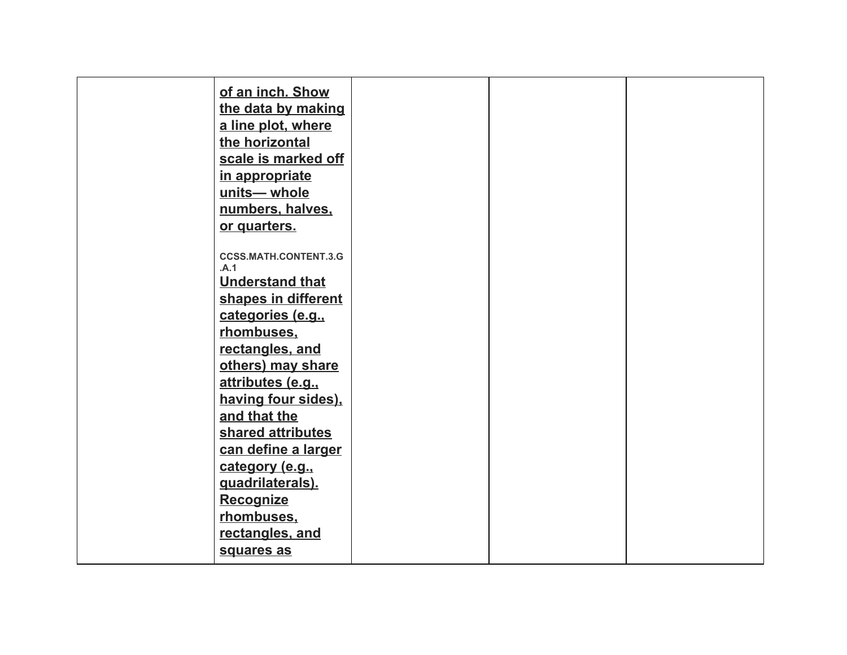| of an inch. Show                     |  |  |
|--------------------------------------|--|--|
| the data by making                   |  |  |
| a line plot, where                   |  |  |
| the horizontal                       |  |  |
| scale is marked off                  |  |  |
| in appropriate                       |  |  |
| units-whole                          |  |  |
| numbers, halves,                     |  |  |
| or quarters.                         |  |  |
|                                      |  |  |
| <b>CCSS.MATH.CONTENT.3.G</b><br>.A.1 |  |  |
| <b>Understand that</b>               |  |  |
| shapes in different                  |  |  |
| categories (e.g.,                    |  |  |
| rhombuses,                           |  |  |
| rectangles, and                      |  |  |
| others) may share                    |  |  |
| attributes (e.g.,                    |  |  |
| having four sides),                  |  |  |
| and that the                         |  |  |
| shared attributes                    |  |  |
| can define a larger                  |  |  |
| category (e.g.,                      |  |  |
| quadrilaterals).                     |  |  |
| <b>Recognize</b>                     |  |  |
| rhombuses.                           |  |  |
| rectangles, and                      |  |  |
| squares as                           |  |  |
|                                      |  |  |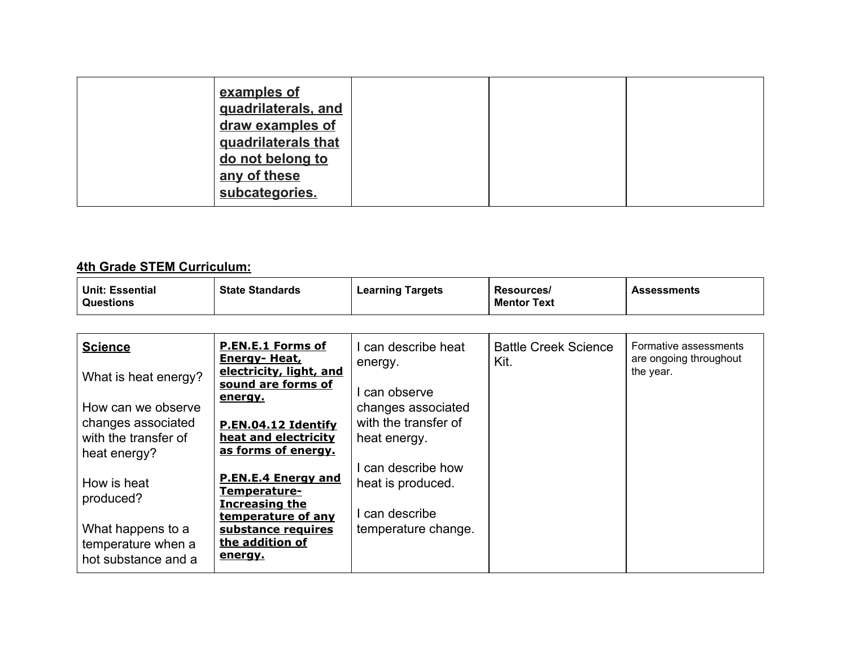| examples of<br>quadrilaterals, and<br>draw examples of<br>quadrilaterals that<br>do not belong to<br>any of these |  |  |
|-------------------------------------------------------------------------------------------------------------------|--|--|
| subcategories.                                                                                                    |  |  |

#### **4th Grade STEM Curriculum:**

| Unit: Essential<br><b>Questions</b> | <b>State Standards</b> | <b>Learning Targets</b> | Resources/<br><b>Mentor Text</b> | <b>Assessments</b> |
|-------------------------------------|------------------------|-------------------------|----------------------------------|--------------------|
|                                     |                        |                         |                                  |                    |

| <b>Science</b>                                                                                             | <b>P.EN.E.1 Forms of</b><br>Energy- Heat,                                                                                                     | can describe heat<br>energy.                                                 | <b>Battle Creek Science</b><br>Kit. | Formative assessments<br>are ongoing throughout |
|------------------------------------------------------------------------------------------------------------|-----------------------------------------------------------------------------------------------------------------------------------------------|------------------------------------------------------------------------------|-------------------------------------|-------------------------------------------------|
| What is heat energy?<br>How can we observe<br>changes associated<br>with the transfer of                   | electricity, light, and<br>sound are forms of<br>energy.<br>P.EN.04.12 Identify<br>heat and electricity<br>as forms of energy.                | can observe<br>changes associated<br>with the transfer of<br>heat energy.    |                                     | the year.                                       |
| heat energy?<br>How is heat<br>produced?<br>What happens to a<br>temperature when a<br>hot substance and a | <b>P.EN.E.4 Energy and</b><br>Temperature-<br><b>Increasing the</b><br>temperature of any<br>substance requires<br>the addition of<br>energy. | can describe how<br>heat is produced.<br>can describe<br>temperature change. |                                     |                                                 |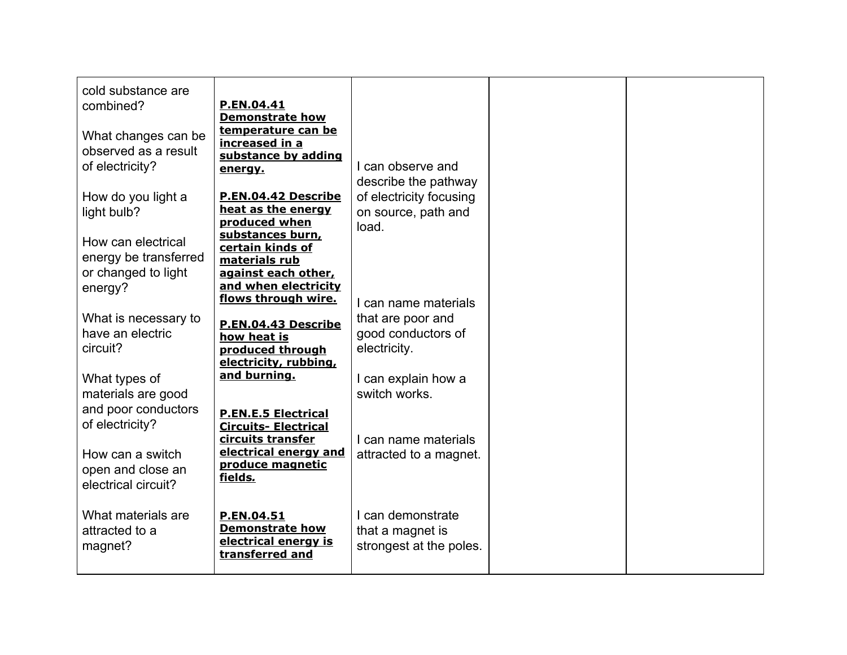| cold substance are<br>combined?<br>What changes can be<br>observed as a result<br>of electricity?                  | P.EN.04.41<br><b>Demonstrate how</b><br>temperature can be<br>increased in a<br>substance by adding<br>energy.                                                     | I can observe and<br>describe the pathway                                                                               |  |
|--------------------------------------------------------------------------------------------------------------------|--------------------------------------------------------------------------------------------------------------------------------------------------------------------|-------------------------------------------------------------------------------------------------------------------------|--|
| How do you light a<br>light bulb?<br>How can electrical<br>energy be transferred<br>or changed to light<br>energy? | P.EN.04.42 Describe<br>heat as the energy<br>produced when<br>substances burn,<br>certain kinds of<br>materials rub<br>against each other,<br>and when electricity | of electricity focusing<br>on source, path and<br>load.                                                                 |  |
| What is necessary to<br>have an electric<br>circuit?<br>What types of<br>materials are good                        | flows through wire.<br>P.EN.04.43 Describe<br>how heat is<br>produced through<br>electricity, rubbing,<br>and burning.                                             | I can name materials<br>that are poor and<br>good conductors of<br>electricity.<br>I can explain how a<br>switch works. |  |
| and poor conductors<br>of electricity?<br>How can a switch<br>open and close an<br>electrical circuit?             | <b>P.EN.E.5 Electrical</b><br><b>Circuits- Electrical</b><br>circuits transfer<br>electrical energy and<br>produce magnetic<br>fields.                             | I can name materials<br>attracted to a magnet.                                                                          |  |
| What materials are<br>attracted to a<br>magnet?                                                                    | P.EN.04.51<br><b>Demonstrate how</b><br>electrical energy is<br>transferred and                                                                                    | I can demonstrate<br>that a magnet is<br>strongest at the poles.                                                        |  |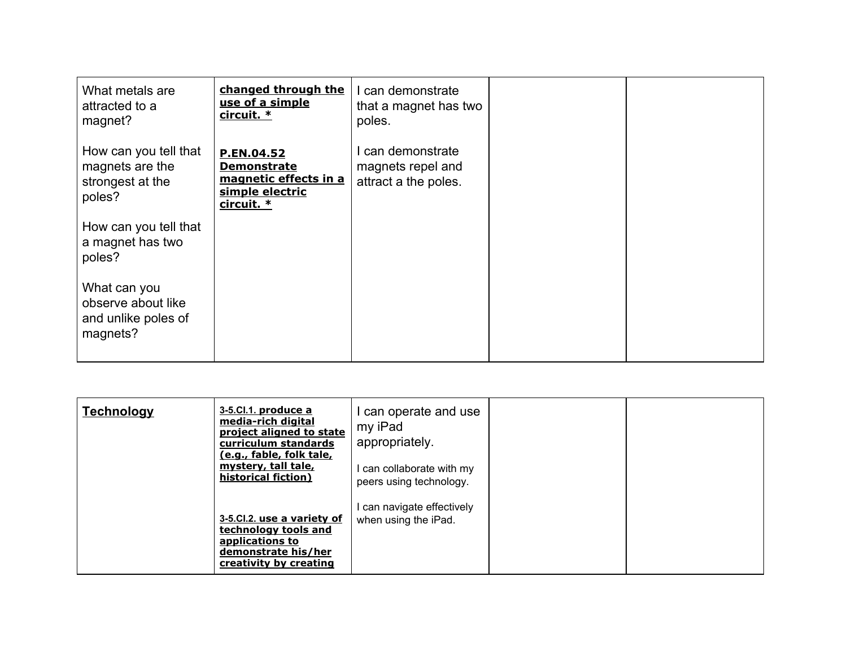| What metals are<br>attracted to a<br>magnet?                           | changed through the<br>use of a simple<br>circuit. *                                       | I can demonstrate<br>that a magnet has two<br>poles.           |  |
|------------------------------------------------------------------------|--------------------------------------------------------------------------------------------|----------------------------------------------------------------|--|
| How can you tell that<br>magnets are the<br>strongest at the<br>poles? | P.EN.04.52<br><b>Demonstrate</b><br>magnetic effects in a<br>simple electric<br>circuit. * | I can demonstrate<br>magnets repel and<br>attract a the poles. |  |
| How can you tell that<br>a magnet has two<br>poles?                    |                                                                                            |                                                                |  |
| What can you<br>observe about like<br>and unlike poles of<br>magnets?  |                                                                                            |                                                                |  |

| <u>Technology</u> | 3-5.Cl.1. produce a<br>media-rich digital<br>project aligned to state<br>curriculum standards<br>(e.g., fable, folk tale,<br>mystery, tall tale,<br>historical fiction) | can operate and use<br>my iPad<br>appropriately.<br>can collaborate with my<br>peers using technology. |  |
|-------------------|-------------------------------------------------------------------------------------------------------------------------------------------------------------------------|--------------------------------------------------------------------------------------------------------|--|
|                   | 3-5.Cl.2. use a variety of<br>technology tools and<br>applications to<br>demonstrate his/her<br>creativity by creating                                                  | can navigate effectively<br>when using the iPad.                                                       |  |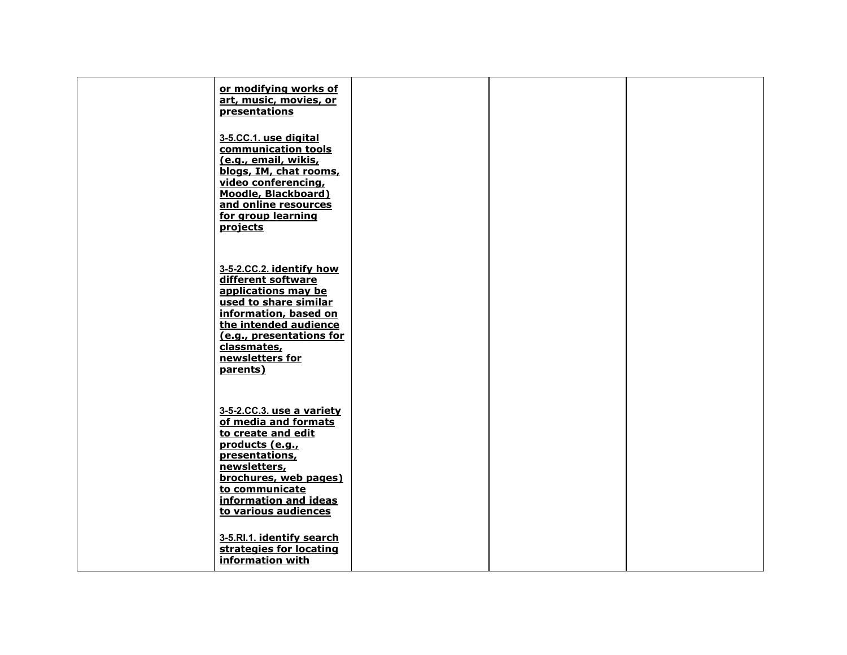| or modifying works of<br>art, music, movies, or<br>presentations                                                                                                                                                           |  |  |
|----------------------------------------------------------------------------------------------------------------------------------------------------------------------------------------------------------------------------|--|--|
| 3-5.CC.1. use digital<br>communication tools<br>(e.g., email, wikis,<br>blogs, IM, chat rooms,<br>video conferencing,<br>Moodle, Blackboard)<br>and online resources<br>for group learning<br>projects                     |  |  |
| 3-5-2.CC.2. identify how<br>different software<br>applications may be<br>used to share similar<br>information, based on<br>the intended audience<br>(e.g., presentations for<br>classmates,<br>newsletters for<br>parents) |  |  |
| 3-5-2.CC.3. use a variety<br>of media and formats<br>to create and edit<br>products (e.g.,<br>presentations,<br>newsletters,<br>brochures, web pages)<br>to communicate<br>information and ideas<br>to various audiences   |  |  |
| 3-5.RI.1. identify search<br>strategies for locating<br>information with                                                                                                                                                   |  |  |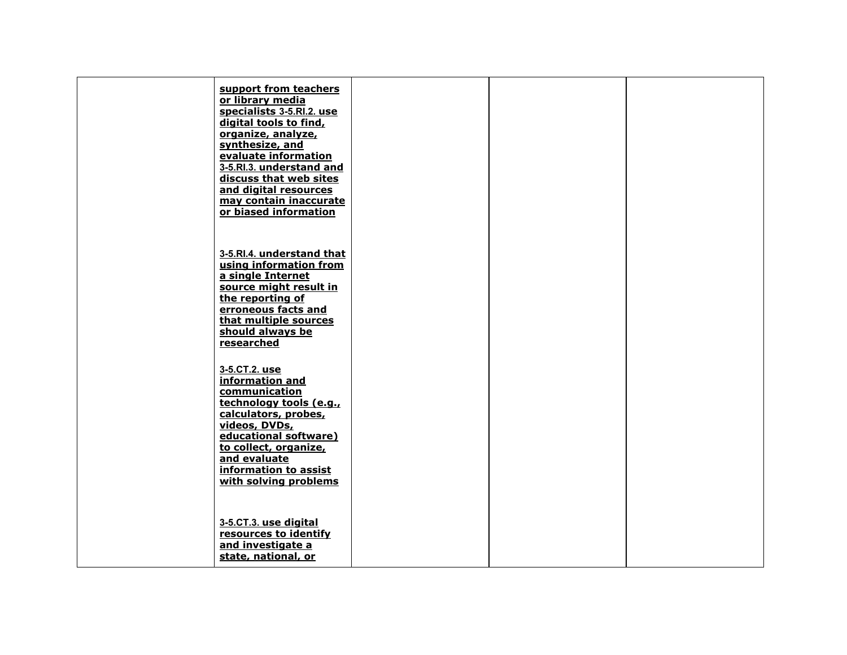| support from teachers<br>or library media<br>specialists 3-5.RI.2. use<br>digital tools to find,<br>organize, analyze,<br>synthesize, and<br>evaluate information<br>3-5.Rl.3. understand and<br>discuss that web sites<br>and digital resources<br>may contain inaccurate<br>or biased information |  |  |
|-----------------------------------------------------------------------------------------------------------------------------------------------------------------------------------------------------------------------------------------------------------------------------------------------------|--|--|
| 3-5.RI.4. understand that<br>using information from<br>a single Internet<br>source might result in<br>the reporting of<br>erroneous facts and<br>that multiple sources<br>should always be<br>researched                                                                                            |  |  |
| 3-5.CT.2. use<br>information and<br>communication<br>technology tools (e.g.,<br>calculators, probes,<br>videos, DVDs,<br>educational software)<br>to collect, organize,<br>and evaluate<br>information to assist<br>with solving problems                                                           |  |  |
| 3-5.CT.3. use digital<br>resources to identify<br>and investigate a<br>state, national, or                                                                                                                                                                                                          |  |  |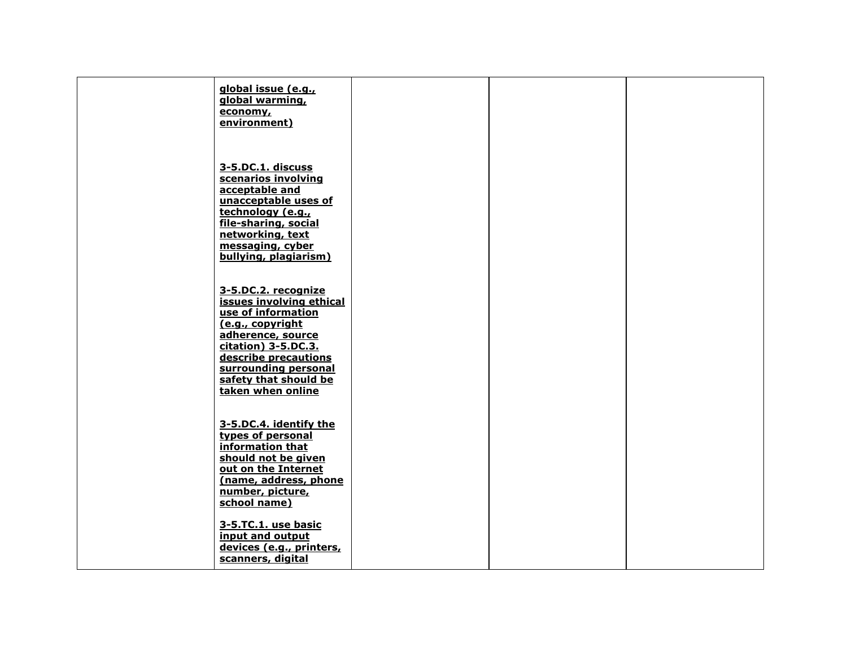| global issue (e.g.,<br>global warming,<br>economy,<br>environment)                                                                                                                                                                  |  |  |
|-------------------------------------------------------------------------------------------------------------------------------------------------------------------------------------------------------------------------------------|--|--|
| 3-5.DC.1. discuss<br>scenarios involving<br>acceptable and<br>unacceptable uses of<br>technology (e.g.,<br>file-sharing, social<br>networking, text<br>messaging, cyber<br>bullying, plagiarism)                                    |  |  |
| 3-5.DC.2. recognize<br>issues involving ethical<br>use of information<br>(e.g., copyright<br>adherence, source<br>citation) 3-5.DC.3.<br>describe precautions<br>surrounding personal<br>safety that should be<br>taken when online |  |  |
| 3-5.DC.4. identify the<br>types of personal<br>information that<br>should not be given<br>out on the Internet<br>(name, address, phone<br>number, picture,<br>school name)                                                          |  |  |
| 3-5.TC.1. use basic<br>input and output<br>devices (e.g., printers,<br>scanners, digital                                                                                                                                            |  |  |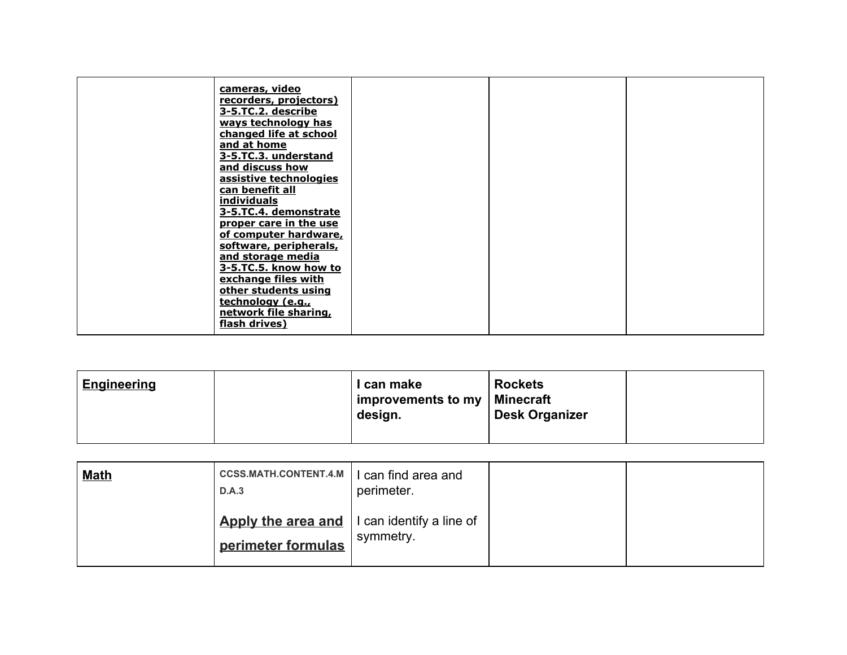| cameras, video<br>recorders, projectors)<br>3-5.TC.2. describe<br>ways technology has<br>changed life at school<br>and at home<br>3-5.TC.3. understand<br>and discuss how<br>assistive technologies<br>can benefit all<br>individuals |  |  |
|---------------------------------------------------------------------------------------------------------------------------------------------------------------------------------------------------------------------------------------|--|--|
| 3-5.TC.4. demonstrate<br>proper care in the use<br>of computer hardware,<br>software, peripherals,<br>and storage media<br>3-5.TC.5. know how to<br>exchange files with<br>other students using                                       |  |  |
| technology (e.g.,<br>network file sharing,<br>flash drives)                                                                                                                                                                           |  |  |

| <b>Engineering</b> | I can make<br>improvements to my<br>design. | <b>Rockets</b><br>∣ Minecraft<br>Desk Organizer |  |
|--------------------|---------------------------------------------|-------------------------------------------------|--|
|                    |                                             |                                                 |  |

| <u>Math</u> | <b>CCSS.MATH.CONTENT.4.M</b><br>D.A.3    | I can find area and<br>perimeter.     |  |
|-------------|------------------------------------------|---------------------------------------|--|
|             | Apply the area and<br>perimeter formulas | I can identify a line of<br>symmetry. |  |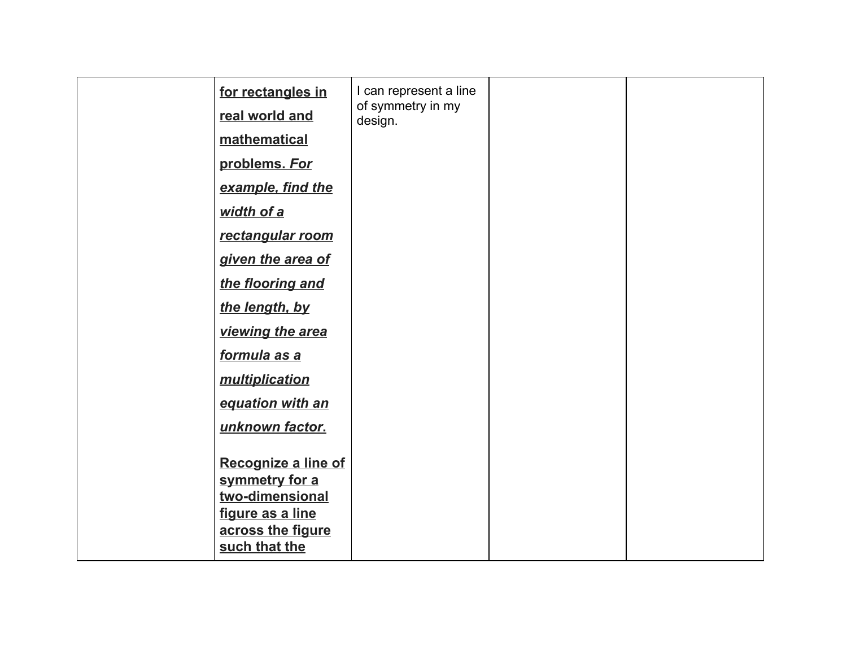| for rectangles in   | I can represent a line<br>of symmetry in my<br>design. |  |
|---------------------|--------------------------------------------------------|--|
| real world and      |                                                        |  |
| mathematical        |                                                        |  |
| problems. For       |                                                        |  |
| example, find the   |                                                        |  |
| width of a          |                                                        |  |
| rectangular room    |                                                        |  |
| given the area of   |                                                        |  |
| the flooring and    |                                                        |  |
| the length, by      |                                                        |  |
| viewing the area    |                                                        |  |
| formula as a        |                                                        |  |
| multiplication      |                                                        |  |
| equation with an    |                                                        |  |
| unknown factor.     |                                                        |  |
|                     |                                                        |  |
| Recognize a line of |                                                        |  |
| symmetry for a      |                                                        |  |
| two-dimensional     |                                                        |  |
| figure as a line    |                                                        |  |
| across the figure   |                                                        |  |
| such that the       |                                                        |  |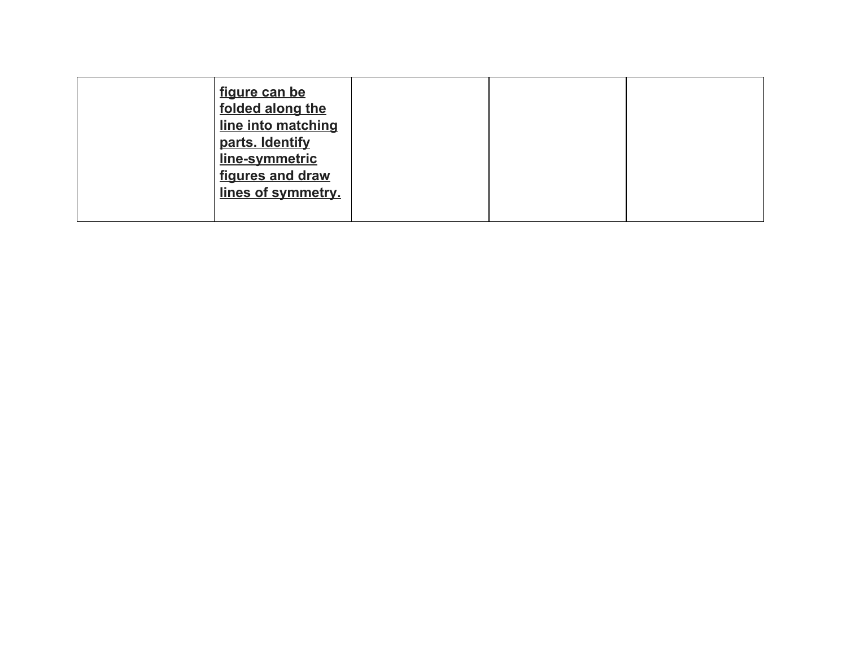| figure can be<br>folded along the<br>line into matching<br>parts. Identify<br>line-symmetric<br>figures and draw<br>lines of symmetry. |  |  |
|----------------------------------------------------------------------------------------------------------------------------------------|--|--|
|                                                                                                                                        |  |  |